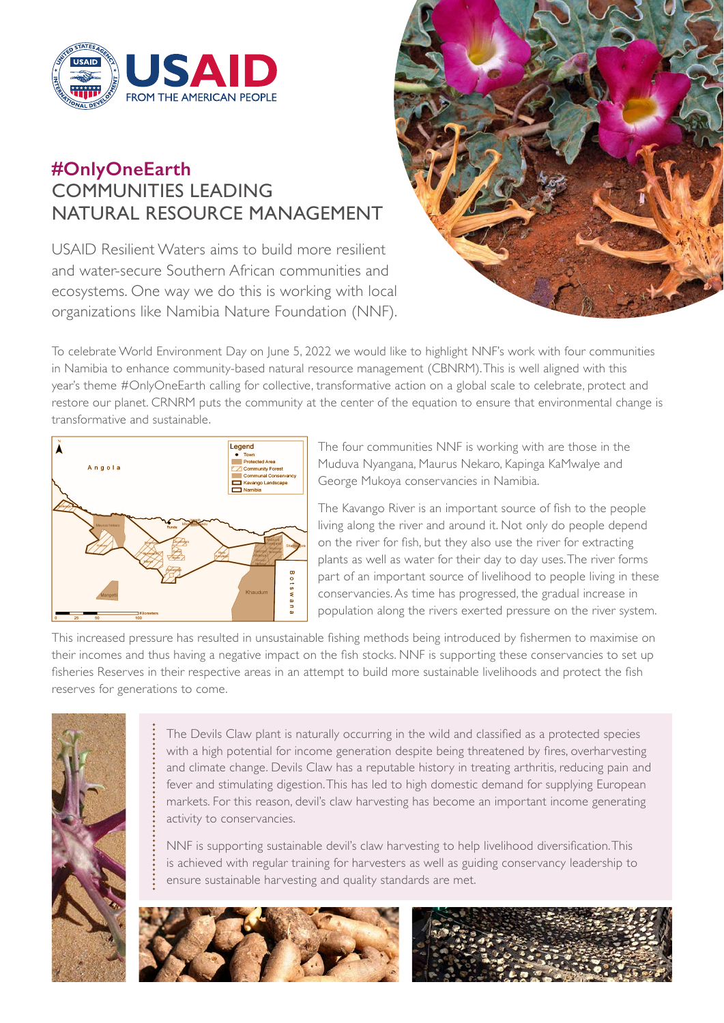

# **#OnlyOneEarth** COMMUNITIES LEADING NATURAL RESOURCE MANAGEMENT

USAID Resilient Waters aims to build more resilient and water-secure Southern African communities and ecosystems. One way we do this is working with local organizations like Namibia Nature Foundation (NNF).



To celebrate World Environment Day on June 5, 2022 we would like to highlight NNF's work with four communities in Namibia to enhance community-based natural resource management (CBNRM). This is well aligned with this year's theme #OnlyOneEarth calling for collective, transformative action on a global scale to celebrate, protect and restore our planet. CRNRM puts the community at the center of the equation to ensure that environmental change is transformative and sustainable.



The four communities NNF is working with are those in the Muduva Nyangana, Maurus Nekaro, Kapinga KaMwalye and George Mukoya conservancies in Namibia.

The Kavango River is an important source of fish to the people living along the river and around it. Not only do people depend on the river for fish, but they also use the river for extracting plants as well as water for their day to day uses. The river forms part of an important source of livelihood to people living in these conservancies. As time has progressed, the gradual increase in population along the rivers exerted pressure on the river system.

This increased pressure has resulted in unsustainable fishing methods being introduced by fishermen to maximise on their incomes and thus having a negative impact on the fish stocks. NNF is supporting these conservancies to set up fisheries Reserves in their respective areas in an attempt to build more sustainable livelihoods and protect the fish reserves for generations to come.



The Devils Claw plant is naturally occurring in the wild and classified as a protected species with a high potential for income generation despite being threatened by fires, overharvesting and climate change. Devils Claw has a reputable history in treating arthritis, reducing pain and fever and stimulating digestion. This has led to high domestic demand for supplying European markets. For this reason, devil's claw harvesting has become an important income generating activity to conservancies.

NNF is supporting sustainable devil's claw harvesting to help livelihood diversification. This is achieved with regular training for harvesters as well as guiding conservancy leadership to ensure sustainable harvesting and quality standards are met.